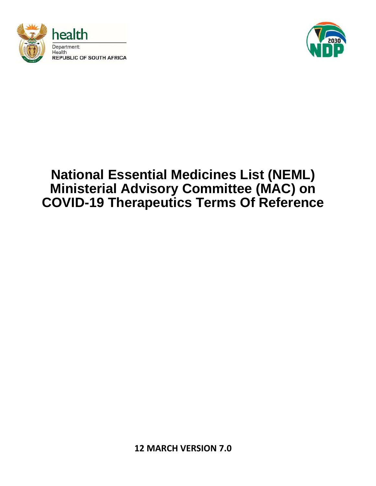



# **National Essential Medicines List (NEML) Ministerial Advisory Committee (MAC) on COVID-19 Therapeutics Terms Of Reference**

**12 MARCH VERSION 7.0**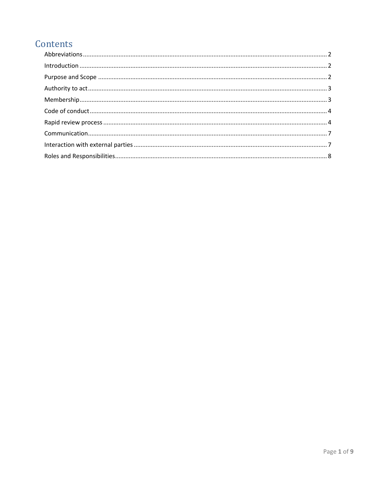# Contents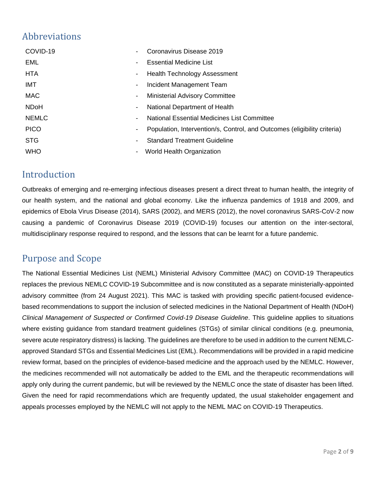# <span id="page-2-0"></span>Abbreviations

| COVID-19     | $\blacksquare$ | Coronavirus Disease 2019                                                 |
|--------------|----------------|--------------------------------------------------------------------------|
| <b>EML</b>   | Ξ.             | <b>Essential Medicine List</b>                                           |
| <b>HTA</b>   | $\blacksquare$ | <b>Health Technology Assessment</b>                                      |
| IMT          | ۰.             | Incident Management Team                                                 |
| <b>MAC</b>   | ۰.             | <b>Ministerial Advisory Committee</b>                                    |
| <b>NDoH</b>  | $\blacksquare$ | National Department of Health                                            |
| <b>NEMLC</b> | ۰.             | National Essential Medicines List Committee                              |
| <b>PICO</b>  | ۰              | Population, Intervention/s, Control, and Outcomes (eligibility criteria) |
| <b>STG</b>   | Ξ.             | <b>Standard Treatment Guideline</b>                                      |
| <b>WHO</b>   | $\blacksquare$ | World Health Organization                                                |

# <span id="page-2-1"></span>Introduction

Outbreaks of emerging and re-emerging infectious diseases present a direct threat to human health, the integrity of our health system, and the national and global economy. Like the influenza pandemics of 1918 and 2009, and epidemics of Ebola Virus Disease (2014), SARS (2002), and MERS (2012), the novel coronavirus SARS-CoV-2 now causing a pandemic of Coronavirus Disease 2019 (COVID-19) focuses our attention on the inter-sectoral, multidisciplinary response required to respond, and the lessons that can be learnt for a future pandemic.

# <span id="page-2-2"></span>Purpose and Scope

The National Essential Medicines List (NEML) Ministerial Advisory Committee (MAC) on COVID-19 Therapeutics replaces the previous NEMLC COVID-19 Subcommittee and is now constituted as a separate ministerially-appointed advisory committee (from 24 August 2021). This MAC is tasked with providing specific patient-focused evidencebased recommendations to support the inclusion of selected medicines in the National Department of Health (NDoH) *Clinical Management of Suspected or Confirmed Covid-19 Disease Guideline*. This guideline applies to situations where existing guidance from standard treatment guidelines (STGs) of similar clinical conditions (e.g. pneumonia, severe acute respiratory distress) is lacking. The guidelines are therefore to be used in addition to the current NEMLCapproved Standard STGs and Essential Medicines List (EML). Recommendations will be provided in a rapid medicine review format, based on the principles of evidence-based medicine and the approach used by the NEMLC. However, the medicines recommended will not automatically be added to the EML and the therapeutic recommendations will apply only during the current pandemic, but will be reviewed by the NEMLC once the state of disaster has been lifted. Given the need for rapid recommendations which are frequently updated, the usual stakeholder engagement and appeals processes employed by the NEMLC will not apply to the NEML MAC on COVID-19 Therapeutics.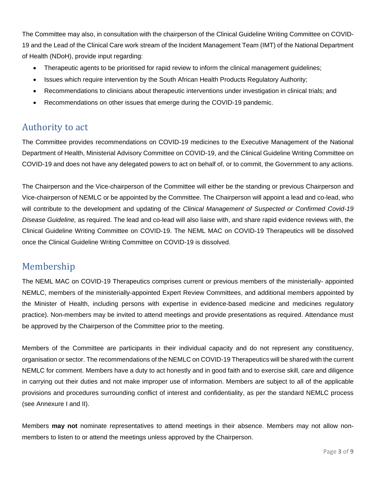The Committee may also, in consultation with the chairperson of the Clinical Guideline Writing Committee on COVID-19 and the Lead of the Clinical Care work stream of the Incident Management Team (IMT) of the National Department of Health (NDoH), provide input regarding:

- Therapeutic agents to be prioritised for rapid review to inform the clinical management guidelines;
- Issues which require intervention by the South African Health Products Regulatory Authority;
- Recommendations to clinicians about therapeutic interventions under investigation in clinical trials; and
- Recommendations on other issues that emerge during the COVID-19 pandemic.

# <span id="page-3-0"></span>Authority to act

The Committee provides recommendations on COVID-19 medicines to the Executive Management of the National Department of Health, Ministerial Advisory Committee on COVID-19, and the Clinical Guideline Writing Committee on COVID-19 and does not have any delegated powers to act on behalf of, or to commit, the Government to any actions.

The Chairperson and the Vice-chairperson of the Committee will either be the standing or previous Chairperson and Vice-chairperson of NEMLC or be appointed by the Committee. The Chairperson will appoint a lead and co-lead, who will contribute to the development and updating of the *Clinical Management of Suspected or Confirmed Covid-19 Disease Guideline,* as required. The lead and co-lead will also liaise with, and share rapid evidence reviews with, the Clinical Guideline Writing Committee on COVID-19. The NEML MAC on COVID-19 Therapeutics will be dissolved once the Clinical Guideline Writing Committee on COVID-19 is dissolved.

# <span id="page-3-1"></span>Membership

The NEML MAC on COVID-19 Therapeutics comprises current or previous members of the ministerially- appointed NEMLC, members of the ministerially-appointed Expert Review Committees, and additional members appointed by the Minister of Health, including persons with expertise in evidence-based medicine and medicines regulatory practice). Non-members may be invited to attend meetings and provide presentations as required. Attendance must be approved by the Chairperson of the Committee prior to the meeting.

Members of the Committee are participants in their individual capacity and do not represent any constituency, organisation or sector. The recommendations of the NEMLC on COVID-19 Therapeutics will be shared with the current NEMLC for comment. Members have a duty to act honestly and in good faith and to exercise skill, care and diligence in carrying out their duties and not make improper use of information. Members are subject to all of the applicable provisions and procedures surrounding conflict of interest and confidentiality, as per the standard NEMLC process (see Annexure I and II).

Members **may not** nominate representatives to attend meetings in their absence. Members may not allow nonmembers to listen to or attend the meetings unless approved by the Chairperson.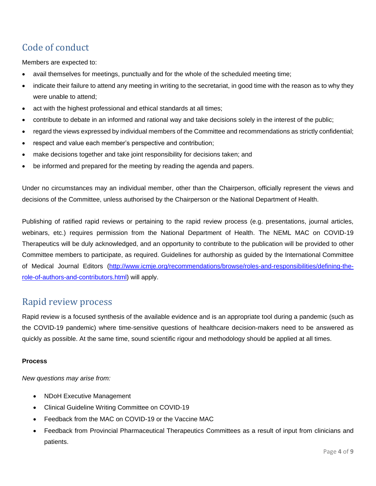# <span id="page-4-0"></span>Code of conduct

Members are expected to:

- avail themselves for meetings, punctually and for the whole of the scheduled meeting time;
- indicate their failure to attend any meeting in writing to the secretariat, in good time with the reason as to why they were unable to attend;
- act with the highest professional and ethical standards at all times;
- contribute to debate in an informed and rational way and take decisions solely in the interest of the public;
- regard the views expressed by individual members of the Committee and recommendations as strictly confidential;
- respect and value each member's perspective and contribution;
- make decisions together and take joint responsibility for decisions taken; and
- be informed and prepared for the meeting by reading the agenda and papers.

Under no circumstances may an individual member, other than the Chairperson, officially represent the views and decisions of the Committee, unless authorised by the Chairperson or the National Department of Health.

Publishing of ratified rapid reviews or pertaining to the rapid review process (e.g. presentations, journal articles, webinars, etc.) requires permission from the National Department of Health. The NEML MAC on COVID-19 Therapeutics will be duly acknowledged, and an opportunity to contribute to the publication will be provided to other Committee members to participate, as required. Guidelines for authorship as guided by the International Committee of Medical Journal Editors [\(http://www.icmje.org/recommendations/browse/roles-and-responsibilities/defining-the](http://www.icmje.org/recommendations/browse/roles-and-responsibilities/defining-the-role-of-authors-and-contributors.html)[role-of-authors-and-contributors.html\)](http://www.icmje.org/recommendations/browse/roles-and-responsibilities/defining-the-role-of-authors-and-contributors.html) will apply.

## <span id="page-4-1"></span>Rapid review process

Rapid review is a focused synthesis of the available evidence and is an appropriate tool during a pandemic (such as the COVID-19 pandemic) where time-sensitive questions of healthcare decision-makers need to be answered as quickly as possible. At the same time, sound scientific rigour and methodology should be applied at all times.

## **Process**

*New questions may arise from:*

- NDoH Executive Management
- Clinical Guideline Writing Committee on COVID-19
- Feedback from the MAC on COVID-19 or the Vaccine MAC
- Feedback from Provincial Pharmaceutical Therapeutics Committees as a result of input from clinicians and patients.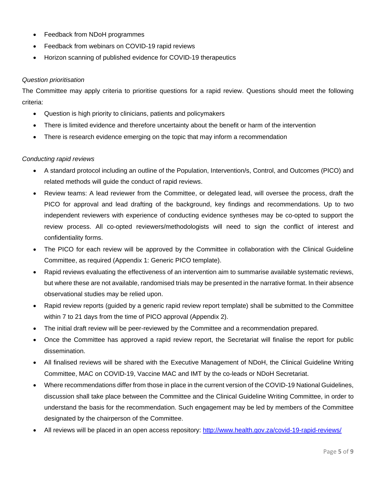- Feedback from NDoH programmes
- Feedback from webinars on COVID-19 rapid reviews
- Horizon scanning of published evidence for COVID-19 therapeutics

#### *Question prioritisation*

The Committee may apply criteria to prioritise questions for a rapid review. Questions should meet the following criteria:

- Question is high priority to clinicians, patients and policymakers
- There is limited evidence and therefore uncertainty about the benefit or harm of the intervention
- There is research evidence emerging on the topic that may inform a recommendation

## *Conducting rapid reviews*

- A standard protocol including an outline of the Population, Intervention/s, Control, and Outcomes (PICO) and related methods will guide the conduct of rapid reviews.
- Review teams: A lead reviewer from the Committee, or delegated lead, will oversee the process, draft the PICO for approval and lead drafting of the background, key findings and recommendations. Up to two independent reviewers with experience of conducting evidence syntheses may be co-opted to support the review process. All co-opted reviewers/methodologists will need to sign the conflict of interest and confidentiality forms.
- The PICO for each review will be approved by the Committee in collaboration with the Clinical Guideline Committee, as required (Appendix 1: Generic PICO template).
- Rapid reviews evaluating the effectiveness of an intervention aim to summarise available systematic reviews, but where these are not available, randomised trials may be presented in the narrative format. In their absence observational studies may be relied upon.
- Rapid review reports (guided by a generic rapid review report template) shall be submitted to the Committee within 7 to 21 days from the time of PICO approval (Appendix 2).
- The initial draft review will be peer-reviewed by the Committee and a recommendation prepared.
- Once the Committee has approved a rapid review report, the Secretariat will finalise the report for public dissemination.
- All finalised reviews will be shared with the Executive Management of NDoH, the Clinical Guideline Writing Committee, MAC on COVID-19, Vaccine MAC and IMT by the co-leads or NDoH Secretariat.
- Where recommendations differ from those in place in the current version of the COVID-19 National Guidelines, discussion shall take place between the Committee and the Clinical Guideline Writing Committee, in order to understand the basis for the recommendation. Such engagement may be led by members of the Committee designated by the chairperson of the Committee.
- All reviews will be placed in an open access repository:<http://www.health.gov.za/covid-19-rapid-reviews/>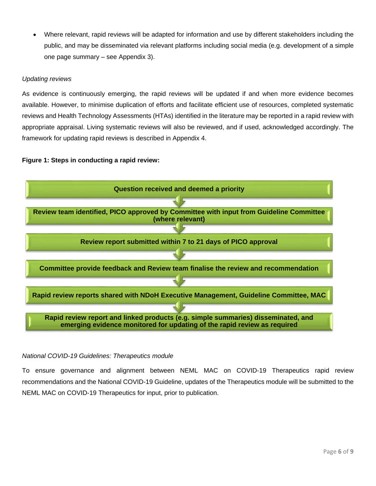Where relevant, rapid reviews will be adapted for information and use by different stakeholders including the public, and may be disseminated via relevant platforms including social media (e.g. development of a simple one page summary – see Appendix 3).

## *Updating reviews*

As evidence is continuously emerging, the rapid reviews will be updated if and when more evidence becomes available. However, to minimise duplication of efforts and facilitate efficient use of resources, completed systematic reviews and Health Technology Assessments (HTAs) identified in the literature may be reported in a rapid review with appropriate appraisal. Living systematic reviews will also be reviewed, and if used, acknowledged accordingly. The framework for updating rapid reviews is described in Appendix 4.

## **Figure 1: Steps in conducting a rapid review:**



## *National COVID-19 Guidelines: Therapeutics module*

To ensure governance and alignment between NEML MAC on COVID-19 Therapeutics rapid review recommendations and the National COVID-19 Guideline, updates of the Therapeutics module will be submitted to the NEML MAC on COVID-19 Therapeutics for input, prior to publication.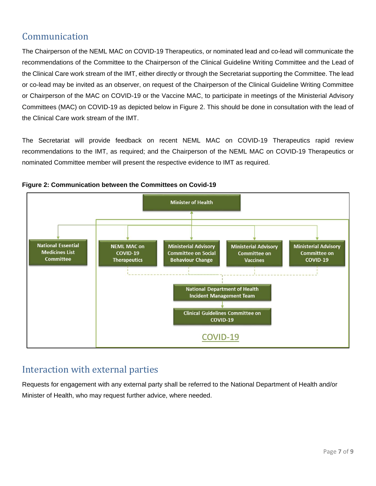# <span id="page-7-0"></span>Communication

The Chairperson of the NEML MAC on COVID-19 Therapeutics, or nominated lead and co-lead will communicate the recommendations of the Committee to the Chairperson of the Clinical Guideline Writing Committee and the Lead of the Clinical Care work stream of the IMT, either directly or through the Secretariat supporting the Committee. The lead or co-lead may be invited as an observer, on request of the Chairperson of the Clinical Guideline Writing Committee or Chairperson of the MAC on COVID-19 or the Vaccine MAC, to participate in meetings of the Ministerial Advisory Committees (MAC) on COVID-19 as depicted below in Figure 2. This should be done in consultation with the lead of the Clinical Care work stream of the IMT.

The Secretariat will provide feedback on recent NEML MAC on COVID-19 Therapeutics rapid review recommendations to the IMT, as required; and the Chairperson of the NEML MAC on COVID-19 Therapeutics or nominated Committee member will present the respective evidence to IMT as required.



![](_page_7_Figure_4.jpeg)

# <span id="page-7-1"></span>Interaction with external parties

Requests for engagement with any external party shall be referred to the National Department of Health and/or Minister of Health, who may request further advice, where needed.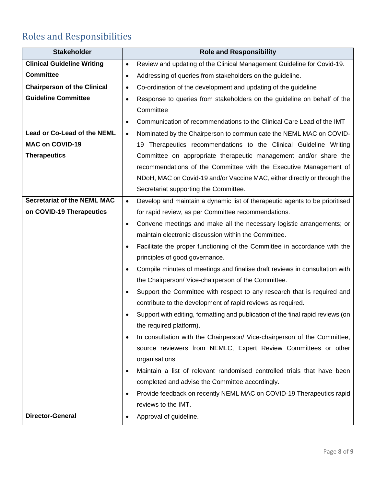# <span id="page-8-0"></span>Roles and Responsibilities

| <b>Stakeholder</b>                 | <b>Role and Responsibility</b>                                                           |
|------------------------------------|------------------------------------------------------------------------------------------|
| <b>Clinical Guideline Writing</b>  | Review and updating of the Clinical Management Guideline for Covid-19.<br>$\bullet$      |
| <b>Committee</b>                   | Addressing of queries from stakeholders on the guideline.                                |
| <b>Chairperson of the Clinical</b> | Co-ordination of the development and updating of the guideline<br>$\bullet$              |
| <b>Guideline Committee</b>         | Response to queries from stakeholders on the guideline on behalf of the<br>$\bullet$     |
|                                    | Committee                                                                                |
|                                    | Communication of recommendations to the Clinical Care Lead of the IMT<br>$\bullet$       |
| Lead or Co-Lead of the NEML        | Nominated by the Chairperson to communicate the NEML MAC on COVID-<br>$\bullet$          |
| <b>MAC on COVID-19</b>             | 19 Therapeutics recommendations to the Clinical Guideline Writing                        |
| <b>Therapeutics</b>                | Committee on appropriate therapeutic management and/or share the                         |
|                                    | recommendations of the Committee with the Executive Management of                        |
|                                    | NDoH, MAC on Covid-19 and/or Vaccine MAC, either directly or through the                 |
|                                    | Secretariat supporting the Committee.                                                    |
| <b>Secretariat of the NEML MAC</b> | Develop and maintain a dynamic list of therapeutic agents to be prioritised<br>$\bullet$ |
| on COVID-19 Therapeutics           | for rapid review, as per Committee recommendations.                                      |
|                                    | Convene meetings and make all the necessary logistic arrangements; or<br>$\bullet$       |
|                                    | maintain electronic discussion within the Committee.                                     |
|                                    | Facilitate the proper functioning of the Committee in accordance with the                |
|                                    | principles of good governance.                                                           |
|                                    | Compile minutes of meetings and finalise draft reviews in consultation with              |
|                                    | the Chairperson/ Vice-chairperson of the Committee.                                      |
|                                    | Support the Committee with respect to any research that is required and                  |
|                                    | contribute to the development of rapid reviews as required.                              |
|                                    | Support with editing, formatting and publication of the final rapid reviews (on          |
|                                    | the required platform).                                                                  |
|                                    | In consultation with the Chairperson/ Vice-chairperson of the Committee,                 |
|                                    | source reviewers from NEMLC, Expert Review Committees or other                           |
|                                    | organisations.                                                                           |
|                                    | Maintain a list of relevant randomised controlled trials that have been                  |
|                                    | completed and advise the Committee accordingly.                                          |
|                                    | Provide feedback on recently NEML MAC on COVID-19 Therapeutics rapid                     |
|                                    | reviews to the IMT.                                                                      |
| <b>Director-General</b>            | Approval of guideline.                                                                   |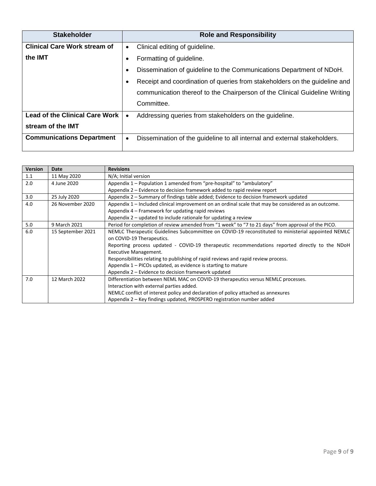| <b>Stakeholder</b>                    | <b>Role and Responsibility</b>                                             |
|---------------------------------------|----------------------------------------------------------------------------|
| <b>Clinical Care Work stream of</b>   | Clinical editing of guideline.<br>$\bullet$                                |
| the <b>IMT</b>                        | Formatting of guideline.                                                   |
|                                       | Dissemination of guideline to the Communications Department of NDoH.       |
|                                       | Receipt and coordination of queries from stakeholders on the guideline and |
|                                       | communication thereof to the Chairperson of the Clinical Guideline Writing |
|                                       | Committee.                                                                 |
| <b>Lead of the Clinical Care Work</b> | Addressing queries from stakeholders on the guideline.<br>$\bullet$        |
| stream of the IMT                     |                                                                            |
| <b>Communications Department</b>      | Dissemination of the guideline to all internal and external stakeholders.  |

| <b>Version</b> | Date              | <b>Revisions</b>                                                                                     |  |  |  |
|----------------|-------------------|------------------------------------------------------------------------------------------------------|--|--|--|
| 1.1            | 11 May 2020       | N/A; Initial version                                                                                 |  |  |  |
| 2.0            | 4 June 2020       | Appendix 1 – Population 1 amended from "pre-hospital" to "ambulatory"                                |  |  |  |
|                |                   | Appendix 2 – Evidence to decision framework added to rapid review report                             |  |  |  |
| 3.0            | 25 July 2020      | Appendix 2 – Summary of findings table added; Evidence to decision framework updated                 |  |  |  |
| 4.0            | 26 November 2020  | Appendix 1 – Included clinical improvement on an ordinal scale that may be considered as an outcome. |  |  |  |
|                |                   | Appendix 4 – Framework for updating rapid reviews                                                    |  |  |  |
|                |                   | Appendix $2$ – updated to include rationale for updating a review                                    |  |  |  |
| 5.0            | 9 March 2021      | Period for completion of review amended from "1 week" to "7 to 21 days" from approval of the PICO.   |  |  |  |
| 6.0            | 15 September 2021 | NEMLC Therapeutic Guidelines Subcommittee on COVID-19 reconstituted to ministerial appointed NEMLC   |  |  |  |
|                |                   | on COVID-19 Therapeutics.                                                                            |  |  |  |
|                |                   | Reporting process updated - COVID-19 therapeutic recommendations reported directly to the NDoH       |  |  |  |
|                |                   | <b>Executive Management.</b>                                                                         |  |  |  |
|                |                   | Responsibilities relating to publishing of rapid reviews and rapid review process.                   |  |  |  |
|                |                   | Appendix $1 -$ PICOs updated, as evidence is starting to mature                                      |  |  |  |
|                |                   | Appendix 2 – Evidence to decision framework updated                                                  |  |  |  |
| 7.0            | 12 March 2022     | Differentiation between NEML MAC on COVID-19 therapeutics versus NEMLC processes.                    |  |  |  |
|                |                   | Interaction with external parties added.                                                             |  |  |  |
|                |                   | NEMLC conflict of interest policy and declaration of policy attached as annexures                    |  |  |  |
|                |                   | Appendix 2 - Key findings updated, PROSPERO registration number added                                |  |  |  |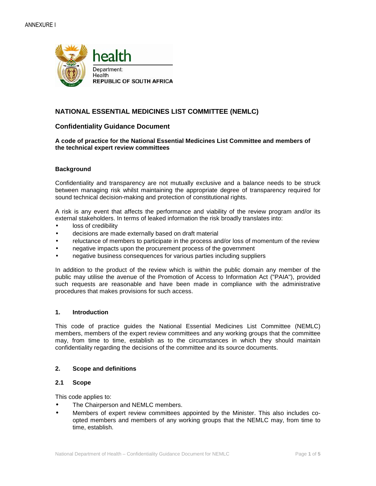![](_page_10_Picture_1.jpeg)

## **NATIONAL ESSENTIAL MEDICINES LIST COMMITTEE (NEMLC)**

#### **Confidentiality Guidance Document**

**A code of practice for the National Essential Medicines List Committee and members of the technical expert review committees** 

#### **Background**

Confidentiality and transparency are not mutually exclusive and a balance needs to be struck between managing risk whilst maintaining the appropriate degree of transparency required for sound technical decision-making and protection of constitutional rights.

A risk is any event that affects the performance and viability of the review program and/or its external stakeholders. In terms of leaked information the risk broadly translates into:

- loss of credibility
- decisions are made externally based on draft material
- reluctance of members to participate in the process and/or loss of momentum of the review
- negative impacts upon the procurement process of the government
- negative business consequences for various parties including suppliers

In addition to the product of the review which is within the public domain any member of the public may utilise the avenue of the Promotion of Access to Information Act ("PAIA"), provided such requests are reasonable and have been made in compliance with the administrative procedures that makes provisions for such access.

#### **1. Introduction**

This code of practice guides the National Essential Medicines List Committee (NEMLC) members, members of the expert review committees and any working groups that the committee may, from time to time, establish as to the circumstances in which they should maintain confidentiality regarding the decisions of the committee and its source documents.

#### **2. Scope and definitions**

#### **2.1 Scope**

This code applies to:

- The Chairperson and NEMLC members.
- Members of expert review committees appointed by the Minister. This also includes coopted members and members of any working groups that the NEMLC may, from time to time, establish.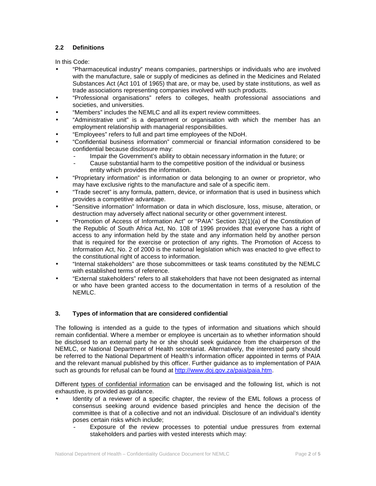## **2.2 Definitions**

In this Code:

- "Pharmaceutical industry" means companies, partnerships or individuals who are involved with the manufacture, sale or supply of medicines as defined in the Medicines and Related Substances Act (Act 101 of 1965) that are, or may be, used by state institutions, as well as trade associations representing companies involved with such products.
- "Professional organisations" refers to colleges, health professional associations and societies, and universities.
- "Members" includes the NEMLC and all its expert review committees.
- "Administrative unit" is a department or organisation with which the member has an employment relationship with managerial responsibilities.
- "Employees" refers to full and part time employees of the NDoH.
- "Confidential business information" commercial or financial information considered to be confidential because disclosure may:
	- Impair the Government's ability to obtain necessary information in the future; or
	- Cause substantial harm to the competitive position of the individual or business entity which provides the information.
- "Proprietary information" is information or data belonging to an owner or proprietor, who may have exclusive rights to the manufacture and sale of a specific item.
- "Trade secret" is any formula, pattern, device, or information that is used in business which provides a competitive advantage.
- "Sensitive information" Information or data in which disclosure, loss, misuse, alteration, or destruction may adversely affect national security or other government interest.
- "Promotion of Access of Information Act" or "PAIA" Section 32(1)(a) of the Constitution of the Republic of South Africa Act, No. 108 of 1996 provides that everyone has a right of access to any information held by the state and any information held by another person that is required for the exercise or protection of any rights. The Promotion of Access to Information Act, No. 2 of 2000 is the national legislation which was enacted to give effect to the constitutional right of access to information.
- "Internal stakeholders" are those subcommittees or task teams constituted by the NEMLC with established terms of reference.
- "External stakeholders" refers to all stakeholders that have not been designated as internal or who have been granted access to the documentation in terms of a resolution of the NEMLC.

## **3. Types of information that are considered confidential**

The following is intended as a guide to the types of information and situations which should remain confidential. Where a member or employee is uncertain as to whether information should be disclosed to an external party he or she should seek guidance from the chairperson of the NEMLC, or National Department of Health secretariat. Alternatively, the interested party should be referred to the National Department of Health's information officer appointed in terms of PAIA and the relevant manual published by this officer. Further guidance as to implementation of PAIA such as grounds for refusal can be found at http://www.doj.gov.za/paia/paia.htm.

Different types of confidential information can be envisaged and the following list, which is not exhaustive, is provided as guidance.

- Identity of a reviewer of a specific chapter, the review of the EML follows a process of consensus seeking around evidence based principles and hence the decision of the committee is that of a collective and not an individual. Disclosure of an individual's identity poses certain risks which include;
	- Exposure of the review processes to potential undue pressures from external stakeholders and parties with vested interests which may: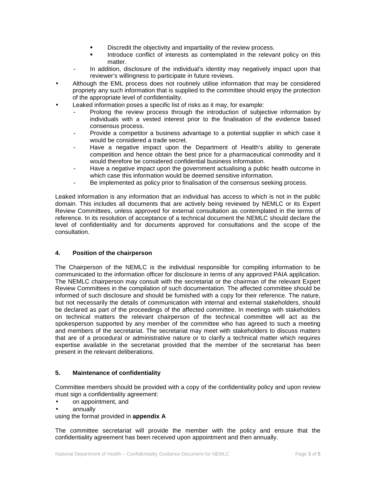- **Discredit the objectivity and impartiality of the review process.**
- Introduce conflict of interests as contemplated in the relevant policy on this matter.
- In addition, disclosure of the individual's identity may negatively impact upon that reviewer's willingness to participate in future reviews.
- Although the EML process does not routinely utilise information that may be considered propriety any such information that is supplied to the committee should enjoy the protection of the appropriate level of confidentiality.
- Leaked information poses a specific list of risks as it may, for example:
	- Prolong the review process through the introduction of subjective information by individuals with a vested interest prior to the finalisation of the evidence based consensus process.
	- Provide a competitor a business advantage to a potential supplier in which case it would be considered a trade secret.
	- Have a negative impact upon the Department of Health's ability to generate competition and hence obtain the best price for a pharmaceutical commodity and it would therefore be considered confidential business information.
	- Have a negative impact upon the government actualising a public health outcome in which case this information would be deemed sensitive information.
	- Be implemented as policy prior to finalisation of the consensus seeking process.

Leaked information is any information that an individual has access to which is not in the public domain. This includes all documents that are actively being reviewed by NEMLC or its Expert Review Committees, unless approved for external consultation as contemplated in the terms of reference. In its resolution of acceptance of a technical document the NEMLC should declare the level of confidentiality and for documents approved for consultations and the scope of the consultation.

#### **4. Position of the chairperson**

The Chairperson of the NEMLC is the individual responsible for compiling information to be communicated to the information officer for disclosure in terms of any approved PAIA application. The NEMLC chairperson may consult with the secretariat or the chairman of the relevant Expert Review Committees in the compilation of such documentation. The affected committee should be informed of such disclosure and should be furnished with a copy for their reference. The nature, but not necessarily the details of communication with internal and external stakeholders, should be declared as part of the proceedings of the affected committee. In meetings with stakeholders on technical matters the relevant chairperson of the technical committee will act as the spokesperson supported by any member of the committee who has agreed to such a meeting and members of the secretariat. The secretariat may meet with stakeholders to discuss matters that are of a procedural or administrative nature or to clarify a technical matter which requires expertise available in the secretariat provided that the member of the secretariat has been present in the relevant deliberations.

#### **5. Maintenance of confidentiality**

Committee members should be provided with a copy of the confidentiality policy and upon review must sign a confidentiality agreement:

- on appointment, and
- annually

using the format provided in **appendix A**

The committee secretariat will provide the member with the policy and ensure that the confidentiality agreement has been received upon appointment and then annually.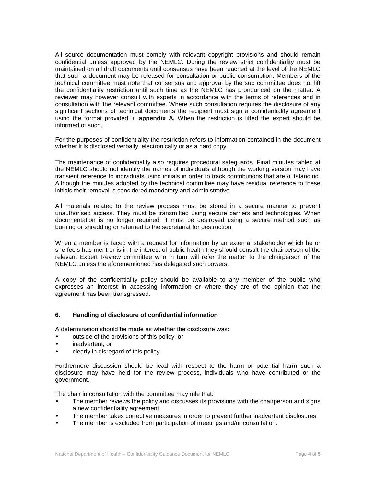All source documentation must comply with relevant copyright provisions and should remain confidential unless approved by the NEMLC. During the review strict confidentiality must be maintained on all draft documents until consensus have been reached at the level of the NEMLC that such a document may be released for consultation or public consumption. Members of the technical committee must note that consensus and approval by the sub committee does not lift the confidentiality restriction until such time as the NEMLC has pronounced on the matter. A reviewer may however consult with experts in accordance with the terms of references and in consultation with the relevant committee. Where such consultation requires the disclosure of any significant sections of technical documents the recipient must sign a confidentiality agreement using the format provided in **appendix A.** When the restriction is lifted the expert should be informed of such.

For the purposes of confidentiality the restriction refers to information contained in the document whether it is disclosed verbally, electronically or as a hard copy.

The maintenance of confidentiality also requires procedural safeguards. Final minutes tabled at the NEMLC should not identify the names of individuals although the working version may have transient reference to individuals using initials in order to track contributions that are outstanding. Although the minutes adopted by the technical committee may have residual reference to these initials their removal is considered mandatory and administrative.

All materials related to the review process must be stored in a secure manner to prevent unauthorised access. They must be transmitted using secure carriers and technologies. When documentation is no longer required, it must be destroyed using a secure method such as burning or shredding or returned to the secretariat for destruction.

When a member is faced with a request for information by an external stakeholder which he or she feels has merit or is in the interest of public health they should consult the chairperson of the relevant Expert Review committee who in turn will refer the matter to the chairperson of the NEMLC unless the aforementioned has delegated such powers.

A copy of the confidentiality policy should be available to any member of the public who expresses an interest in accessing information or where they are of the opinion that the agreement has been transgressed.

#### **6. Handling of disclosure of confidential information**

A determination should be made as whether the disclosure was:

- outside of the provisions of this policy, or
- inadvertent, or
- clearly in disregard of this policy.

Furthermore discussion should be lead with respect to the harm or potential harm such a disclosure may have held for the review process, individuals who have contributed or the government.

The chair in consultation with the committee may rule that:

- The member reviews the policy and discusses its provisions with the chairperson and signs a new confidentiality agreement.
- The member takes corrective measures in order to prevent further inadvertent disclosures.
- The member is excluded from participation of meetings and/or consultation.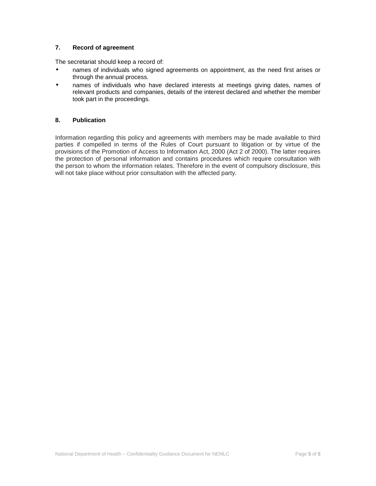## **7. Record of agreement**

The secretariat should keep a record of:

- names of individuals who signed agreements on appointment, as the need first arises or through the annual process.
- names of individuals who have declared interests at meetings giving dates, names of relevant products and companies, details of the interest declared and whether the member took part in the proceedings.

#### **8. Publication**

Information regarding this policy and agreements with members may be made available to third parties if compelled in terms of the Rules of Court pursuant to litigation or by virtue of the provisions of the Promotion of Access to Information Act, 2000 (Act 2 of 2000). The latter requires the protection of personal information and contains procedures which require consultation with the person to whom the information relates. Therefore in the event of compulsory disclosure, this will not take place without prior consultation with the affected party.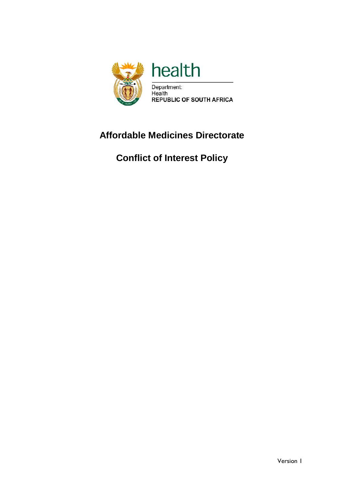![](_page_15_Picture_0.jpeg)

# **Affordable Medicines Directorate**

**Conflict of Interest Policy**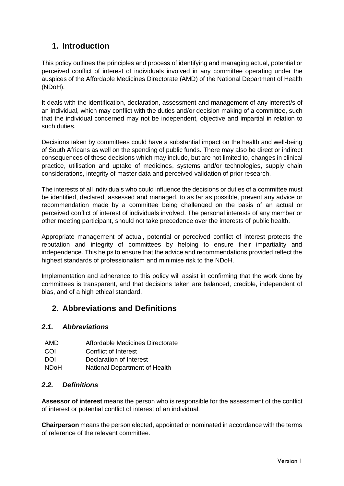# **1. Introduction**

This policy outlines the principles and process of identifying and managing actual, potential or perceived conflict of interest of individuals involved in any committee operating under the auspices of the Affordable Medicines Directorate (AMD) of the National Department of Health (NDoH).

It deals with the identification, declaration, assessment and management of any interest/s of an individual, which may conflict with the duties and/or decision making of a committee, such that the individual concerned may not be independent, objective and impartial in relation to such duties.

Decisions taken by committees could have a substantial impact on the health and well-being of South Africans as well on the spending of public funds. There may also be direct or indirect consequences of these decisions which may include, but are not limited to, changes in clinical practice, utilisation and uptake of medicines, systems and/or technologies, supply chain considerations, integrity of master data and perceived validation of prior research.

The interests of all individuals who could influence the decisions or duties of a committee must be identified, declared, assessed and managed, to as far as possible, prevent any advice or recommendation made by a committee being challenged on the basis of an actual or perceived conflict of interest of individuals involved. The personal interests of any member or other meeting participant, should not take precedence over the interests of public health.

Appropriate management of actual, potential or perceived conflict of interest protects the reputation and integrity of committees by helping to ensure their impartiality and independence. This helps to ensure that the advice and recommendations provided reflect the highest standards of professionalism and minimise risk to the NDoH.

Implementation and adherence to this policy will assist in confirming that the work done by committees is transparent, and that decisions taken are balanced, credible, independent of bias, and of a high ethical standard.

# **2. Abbreviations and Definitions**

## *2.1. Abbreviations*

| AMD | Affordable Medicines Directorate |  |
|-----|----------------------------------|--|
|     |                                  |  |

- COI Conflict of Interest
- DOI Declaration of Interest
- NDoH National Department of Health

## *2.2. Definitions*

**Assessor of interest** means the person who is responsible for the assessment of the conflict of interest or potential conflict of interest of an individual.

**Chairperson** means the person elected, appointed or nominated in accordance with the terms of reference of the relevant committee.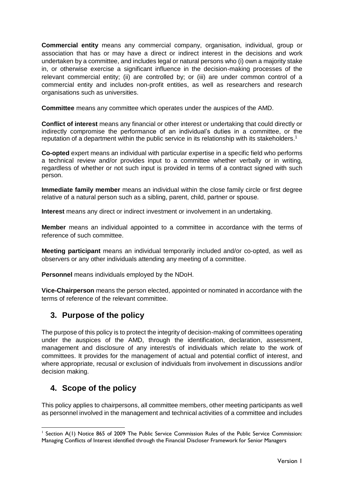**Commercial entity** means any commercial company, organisation, individual, group or association that has or may have a direct or indirect interest in the decisions and work undertaken by a committee, and includes legal or natural persons who (i) own a majority stake in, or otherwise exercise a significant influence in the decision-making processes of the relevant commercial entity; (ii) are controlled by; or (iii) are under common control of a commercial entity and includes non-profit entities, as well as researchers and research organisations such as universities.

**Committee** means any committee which operates under the auspices of the AMD.

**Conflict of interest** means any financial or other interest or undertaking that could directly or indirectly compromise the performance of an individual's duties in a committee, or the reputation of a department within the public service in its relationship with its stakeholders.<sup>1</sup>

**Co-opted** expert means an individual with particular expertise in a specific field who performs a technical review and/or provides input to a committee whether verbally or in writing, regardless of whether or not such input is provided in terms of a contract signed with such person.

**Immediate family member** means an individual within the close family circle or first degree relative of a natural person such as a sibling, parent, child, partner or spouse.

**Interest** means any direct or indirect investment or involvement in an undertaking.

**Member** means an individual appointed to a committee in accordance with the terms of reference of such committee.

**Meeting participant** means an individual temporarily included and/or co-opted, as well as observers or any other individuals attending any meeting of a committee.

**Personnel** means individuals employed by the NDoH.

**Vice-Chairperson** means the person elected, appointed or nominated in accordance with the terms of reference of the relevant committee.

# **3. Purpose of the policy**

The purpose of this policy is to protect the integrity of decision-making of committees operating under the auspices of the AMD, through the identification, declaration, assessment, management and disclosure of any interest/s of individuals which relate to the work of committees. It provides for the management of actual and potential conflict of interest, and where appropriate, recusal or exclusion of individuals from involvement in discussions and/or decision making.

# **4. Scope of the policy**

-

This policy applies to chairpersons, all committee members, other meeting participants as well as personnel involved in the management and technical activities of a committee and includes

<sup>&</sup>lt;sup>1</sup> Section A(1) Notice 865 of 2009 The Public Service Commission Rules of the Public Service Commission: Managing Conflicts of Interest identified through the Financial Discloser Framework for Senior Managers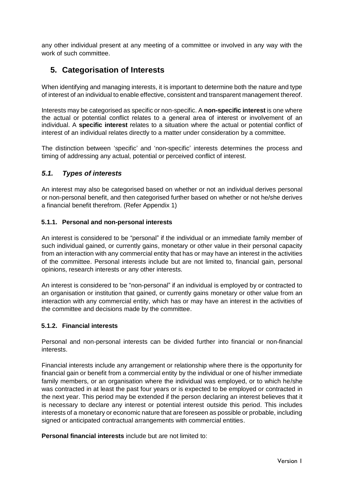any other individual present at any meeting of a committee or involved in any way with the work of such committee.

# **5. Categorisation of Interests**

When identifying and managing interests, it is important to determine both the nature and type of interest of an individual to enable effective, consistent and transparent management thereof.

Interests may be categorised as specific or non-specific. A **non-specific interest** is one where the actual or potential conflict relates to a general area of interest or involvement of an individual. A **specific interest** relates to a situation where the actual or potential conflict of interest of an individual relates directly to a matter under consideration by a committee.

The distinction between 'specific' and 'non-specific' interests determines the process and timing of addressing any actual, potential or perceived conflict of interest.

## *5.1. Types of interests*

An interest may also be categorised based on whether or not an individual derives personal or non-personal benefit, and then categorised further based on whether or not he/she derives a financial benefit therefrom. (Refer Appendix 1)

## **5.1.1. Personal and non-personal interests**

An interest is considered to be "personal" if the individual or an immediate family member of such individual gained, or currently gains, monetary or other value in their personal capacity from an interaction with any commercial entity that has or may have an interest in the activities of the committee. Personal interests include but are not limited to, financial gain, personal opinions, research interests or any other interests.

An interest is considered to be "non-personal" if an individual is employed by or contracted to an organisation or institution that gained, or currently gains monetary or other value from an interaction with any commercial entity, which has or may have an interest in the activities of the committee and decisions made by the committee.

## **5.1.2. Financial interests**

Personal and non-personal interests can be divided further into financial or non-financial interests.

Financial interests include any arrangement or relationship where there is the opportunity for financial gain or benefit from a commercial entity by the individual or one of his/her immediate family members, or an organisation where the individual was employed, or to which he/she was contracted in at least the past four years or is expected to be employed or contracted in the next year. This period may be extended if the person declaring an interest believes that it is necessary to declare any interest or potential interest outside this period. This includes interests of a monetary or economic nature that are foreseen as possible or probable, including signed or anticipated contractual arrangements with commercial entities.

**Personal financial interests** include but are not limited to: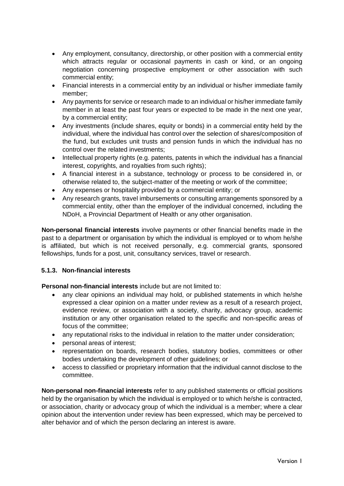- Any employment, consultancy, directorship, or other position with a commercial entity which attracts regular or occasional payments in cash or kind, or an ongoing negotiation concerning prospective employment or other association with such commercial entity;
- Financial interests in a commercial entity by an individual or his/her immediate family member;
- Any payments for service or research made to an individual or his/her immediate family member in at least the past four years or expected to be made in the next one year, by a commercial entity;
- Any investments (include shares, equity or bonds) in a commercial entity held by the individual, where the individual has control over the selection of shares/composition of the fund, but excludes unit trusts and pension funds in which the individual has no control over the related investments;
- Intellectual property rights (e.g. patents, patents in which the individual has a financial interest, copyrights, and royalties from such rights);
- A financial interest in a substance, technology or process to be considered in, or otherwise related to, the subject-matter of the meeting or work of the committee;
- Any expenses or hospitality provided by a commercial entity; or
- Any research grants, travel imbursements or consulting arrangements sponsored by a commercial entity, other than the employer of the individual concerned, including the NDoH, a Provincial Department of Health or any other organisation.

**Non-personal financial interests** involve payments or other financial benefits made in the past to a department or organisation by which the individual is employed or to whom he/she is affiliated, but which is not received personally, e.g. commercial grants, sponsored fellowships, funds for a post, unit, consultancy services, travel or research.

## **5.1.3. Non-financial interests**

**Personal non-financial interests** include but are not limited to:

- any clear opinions an individual may hold, or published statements in which he/she expressed a clear opinion on a matter under review as a result of a research project, evidence review, or association with a society, charity, advocacy group, academic institution or any other organisation related to the specific and non-specific areas of focus of the committee;
- any reputational risks to the individual in relation to the matter under consideration;
- personal areas of interest;
- representation on boards, research bodies, statutory bodies, committees or other bodies undertaking the development of other guidelines; or
- access to classified or proprietary information that the individual cannot disclose to the committee.

**Non-personal non-financial interests** refer to any published statements or official positions held by the organisation by which the individual is employed or to which he/she is contracted, or association, charity or advocacy group of which the individual is a member; where a clear opinion about the intervention under review has been expressed, which may be perceived to alter behavior and of which the person declaring an interest is aware.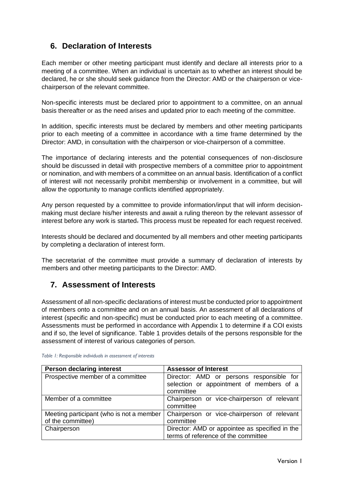# **6. Declaration of Interests**

Each member or other meeting participant must identify and declare all interests prior to a meeting of a committee. When an individual is uncertain as to whether an interest should be declared, he or she should seek guidance from the Director: AMD or the chairperson or vicechairperson of the relevant committee.

Non-specific interests must be declared prior to appointment to a committee, on an annual basis thereafter or as the need arises and updated prior to each meeting of the committee.

In addition, specific interests must be declared by members and other meeting participants prior to each meeting of a committee in accordance with a time frame determined by the Director: AMD, in consultation with the chairperson or vice-chairperson of a committee.

The importance of declaring interests and the potential consequences of non-disclosure should be discussed in detail with prospective members of a committee prior to appointment or nomination, and with members of a committee on an annual basis. Identification of a conflict of interest will not necessarily prohibit membership or involvement in a committee, but will allow the opportunity to manage conflicts identified appropriately.

Any person requested by a committee to provide information/input that will inform decisionmaking must declare his/her interests and await a ruling thereon by the relevant assessor of interest before any work is started. This process must be repeated for each request received.

Interests should be declared and documented by all members and other meeting participants by completing a declaration of interest form.

The secretariat of the committee must provide a summary of declaration of interests by members and other meeting participants to the Director: AMD.

## **7. Assessment of Interests**

Assessment of all non-specific declarations of interest must be conducted prior to appointment of members onto a committee and on an annual basis. An assessment of all declarations of interest (specific and non-specific) must be conducted prior to each meeting of a committee. Assessments must be performed in accordance with Appendix 1 to determine if a COI exists and if so, the level of significance. Table 1 provides details of the persons responsible for the assessment of interest of various categories of person.

| <b>Person declaring interest</b>                              | <b>Assessor of Interest</b>                                                                       |
|---------------------------------------------------------------|---------------------------------------------------------------------------------------------------|
| Prospective member of a committee                             | Director: AMD or persons responsible for<br>selection or appointment of members of a<br>committee |
| Member of a committee                                         | Chairperson or vice-chairperson of relevant<br>committee                                          |
| Meeting participant (who is not a member<br>of the committee) | Chairperson or vice-chairperson of relevant<br>committee                                          |
| Chairperson                                                   | Director: AMD or appointee as specified in the<br>terms of reference of the committee             |

<span id="page-20-0"></span>*Table 1: Responsible individuals in assessment of interests*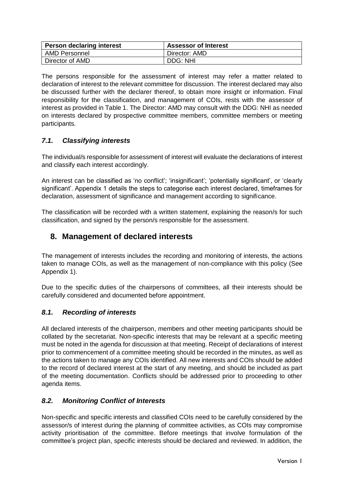| Person declaring interest | <b>Assessor of Interest</b> |
|---------------------------|-----------------------------|
| AMD Personnel             | Director: AMD               |
| Director of AMD           | DDG: NHI                    |

The persons responsible for the assessment of interest may refer a matter related to declaration of interest to the relevant committee for discussion. The interest declared may also be discussed further with the declarer thereof, to obtain more insight or information. Final responsibility for the classification, and management of COIs, rests with the assessor of interest as provided in Table 1. The Director: AMD may consult with the DDG: NHI as needed on interests declared by prospective committee members, committee members or meeting participants.

## *7.1. Classifying interests*

The individual/s responsible for assessment of interest will evaluate the declarations of interest and classify each interest accordingly.

An interest can be classified as 'no conflict'; 'insignificant'; 'potentially significant', or 'clearly significant'. Appendix 1 details the steps to categorise each interest declared, timeframes for declaration, assessment of significance and management according to significance.

The classification will be recorded with a written statement, explaining the reason/s for such classification, and signed by the person/s responsible for the assessment.

## **8. Management of declared interests**

The management of interests includes the recording and monitoring of interests, the actions taken to manage COIs, as well as the management of non-compliance with this policy (See Appendix 1).

Due to the specific duties of the chairpersons of committees, all their interests should be carefully considered and documented before appointment.

## *8.1. Recording of interests*

All declared interests of the chairperson, members and other meeting participants should be collated by the secretariat. Non-specific interests that may be relevant at a specific meeting must be noted in the agenda for discussion at that meeting. Receipt of declarations of interest prior to commencement of a committee meeting should be recorded in the minutes, as well as the actions taken to manage any COIs identified. All new interests and COIs should be added to the record of declared interest at the start of any meeting, and should be included as part of the meeting documentation. Conflicts should be addressed prior to proceeding to other agenda items.

## *8.2. Monitoring Conflict of Interests*

Non-specific and specific interests and classified COIs need to be carefully considered by the assessor/s of interest during the planning of committee activities, as COIs may compromise activity prioritisation of the committee. Before meetings that involve formulation of the committee's project plan, specific interests should be declared and reviewed. In addition, the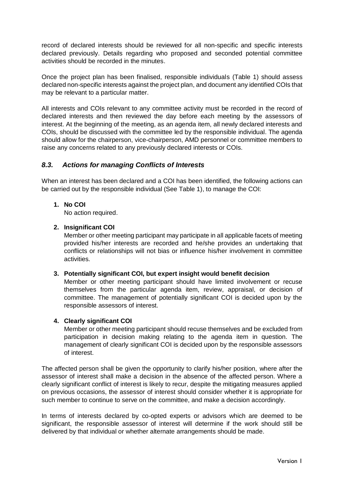record of declared interests should be reviewed for all non-specific and specific interests declared previously. Details regarding who proposed and seconded potential committee activities should be recorded in the minutes.

Once the project plan has been finalised, responsible individuals [\(Table 1\)](#page-20-0) should assess declared non-specific interests against the project plan, and document any identified COIs that may be relevant to a particular matter.

All interests and COIs relevant to any committee activity must be recorded in the record of declared interests and then reviewed the day before each meeting by the assessors of interest. At the beginning of the meeting, as an agenda item, all newly declared interests and COIs, should be discussed with the committee led by the responsible individual. The agenda should allow for the chairperson, vice-chairperson, AMD personnel or committee members to raise any concerns related to any previously declared interests or COIs.

## *8.3. Actions for managing Conflicts of Interests*

When an interest has been declared and a COI has been identified, the following actions can be carried out by the responsible individual (See Table 1), to manage the COI:

## **1. No COI**

No action required.

## **2. Insignificant COI**

Member or other meeting participant may participate in all applicable facets of meeting provided his/her interests are recorded and he/she provides an undertaking that conflicts or relationships will not bias or influence his/her involvement in committee activities.

## **3. Potentially significant COI, but expert insight would benefit decision**

Member or other meeting participant should have limited involvement or recuse themselves from the particular agenda item, review, appraisal, or decision of committee. The management of potentially significant COI is decided upon by the responsible assessors of interest.

## **4. Clearly significant COI**

Member or other meeting participant should recuse themselves and be excluded from participation in decision making relating to the agenda item in question. The management of clearly significant COI is decided upon by the responsible assessors of interest.

The affected person shall be given the opportunity to clarify his/her position, where after the assessor of interest shall make a decision in the absence of the affected person. Where a clearly significant conflict of interest is likely to recur, despite the mitigating measures applied on previous occasions, the assessor of interest should consider whether it is appropriate for such member to continue to serve on the committee, and make a decision accordingly.

In terms of interests declared by co-opted experts or advisors which are deemed to be significant, the responsible assessor of interest will determine if the work should still be delivered by that individual or whether alternate arrangements should be made.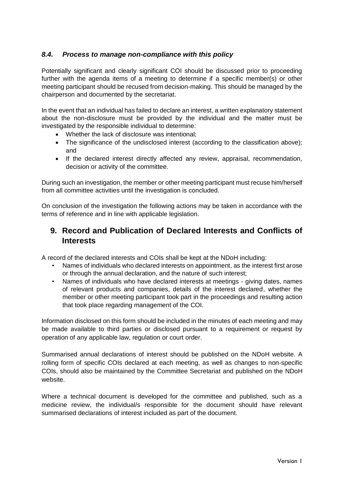## *8.4. Process to manage non-compliance with this policy*

Potentially significant and clearly significant COI should be discussed prior to proceeding further with the agenda items of a meeting to determine if a specific member(s) or other meeting participant should be recused from decision-making. This should be managed by the chairperson and documented by the secretariat.

In the event that an individual has failed to declare an interest, a written explanatory statement about the non-disclosure must be provided by the individual and the matter must be investigated by the responsible individual to determine:

- Whether the lack of disclosure was intentional;
- The significance of the undisclosed interest (according to the classification above); and
- If the declared interest directly affected any review, appraisal, recommendation, decision or activity of the committee.

During such an investigation, the member or other meeting participant must recuse him/herself from all committee activities until the investigation is concluded.

On conclusion of the investigation the following actions may be taken in accordance with the terms of reference and in line with applicable legislation.

## **9. Record and Publication of Declared Interests and Conflicts of Interests**

A record of the declared interests and COIs shall be kept at the NDoH including:

- Names of individuals who declared interests on appointment, as the interest first arose or through the annual declaration, and the nature of such interest;
- Names of individuals who have declared interests at meetings giving dates, names of relevant products and companies, details of the interest declared, whether the member or other meeting participant took part in the proceedings and resulting action that took place regarding management of the COI.

Information disclosed on this form should be included in the minutes of each meeting and may be made available to third parties or disclosed pursuant to a requirement or request by operation of any applicable law, regulation or court order.

Summarised annual declarations of interest should be published on the NDoH website. A rolling form of specific COIs declared at each meeting, as well as changes to non-specific COIs, should also be maintained by the Committee Secretariat and published on the NDoH website.

Where a technical document is developed for the committee and published, such as a medicine review, the individual/s responsible for the document should have relevant summarised declarations of interest included as part of the document.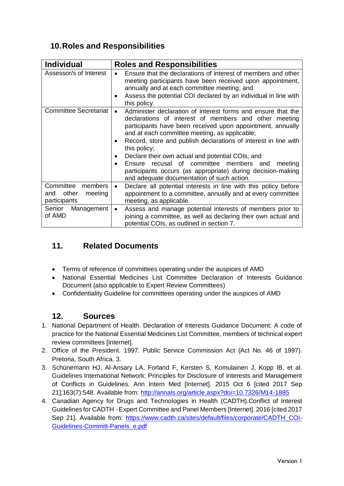# **10.Roles and Responsibilities**

| <b>Individual</b>                                               | <b>Roles and Responsibilities</b>                                                                                                                                                                                                                                                                                                                                                                                                                                                                                                                                                |
|-----------------------------------------------------------------|----------------------------------------------------------------------------------------------------------------------------------------------------------------------------------------------------------------------------------------------------------------------------------------------------------------------------------------------------------------------------------------------------------------------------------------------------------------------------------------------------------------------------------------------------------------------------------|
| Assessor/s of Interest                                          | Ensure that the declarations of interest of members and other<br>meeting participants have been received upon appointment,<br>annually and at each committee meeting; and<br>Assess the potential COI declared by an individual in line with<br>$\bullet$<br>this policy.                                                                                                                                                                                                                                                                                                        |
| <b>Committee Secretariat</b>                                    | Administer declaration of interest forms and ensure that the<br>$\bullet$<br>declarations of interest of members and other meeting<br>participants have been received upon appointment, annually<br>and at each committee meeting, as applicable;<br>Record, store and publish declarations of interest in line with<br>٠<br>this policy;<br>Declare their own actual and potential COIs; and<br>recusal of committee members and<br>Ensure<br>meeting<br>$\bullet$<br>participants occurs (as appropriate) during decision-making<br>and adequate documentation of such action. |
| Committee<br>members<br>other<br>meeting<br>and<br>participants | Declare all potential interests in line with this policy before<br>$\bullet$<br>appointment to a committee, annually and at every committee<br>meeting, as applicable.                                                                                                                                                                                                                                                                                                                                                                                                           |
| Senior<br>Management<br>of AMD                                  | Assess and manage potential interests of members prior to<br>٠<br>joining a committee, as well as declaring their own actual and<br>potential COIs, as outlined in section 7.                                                                                                                                                                                                                                                                                                                                                                                                    |

# **11. Related Documents**

- Terms of reference of committees operating under the auspices of AMD
- National Essential Medicines List Committee Declaration of Interests Guidance Document (also applicable to Expert Review Committees)
- Confidentiality Guideline for committees operating under the auspices of AMD

## **12. Sources**

- 1. National Department of Health. Declaration of Interests Guidance Document: A code of practice for the National Essential Medicines List Committee, members of technical expert review committees [Internet].
- 2. Office of the President. 1997. Public Service Commission Act (Act No. 46 of 1997). Pretoria, South Africa. 3.
- 3. Schünemann HJ, Al-Ansary LA, Forland F, Kersten S, Komulainen J, Kopp IB, et al. Guidelines International Network: Principles for Disclosure of Interests and Management of Conflicts in Guidelines. Ann Intern Med [Internet]. 2015 Oct 6 [cited 2017 Sep 21];163(7):548. Available from:<http://annals.org/article.aspx?doi=10.7326/M14-1885>
- 4. Canadian Agency for Drugs and Technologies in Health (CADTH).Conflict of Interest Guidelines for CADTH - Expert Committee and Panel Members [Internet]. 2016 [cited 2017 Sep 21]. Available from: [https://www.cadth.ca/sites/default/files/corporate/CADTH\\_COI-](https://www.cadth.ca/sites/default/files/corporate/CADTH_COI-Guidelines-Committ-Panels_e.pdf)[Guidelines-Committ-Panels\\_e.pdf](https://www.cadth.ca/sites/default/files/corporate/CADTH_COI-Guidelines-Committ-Panels_e.pdf)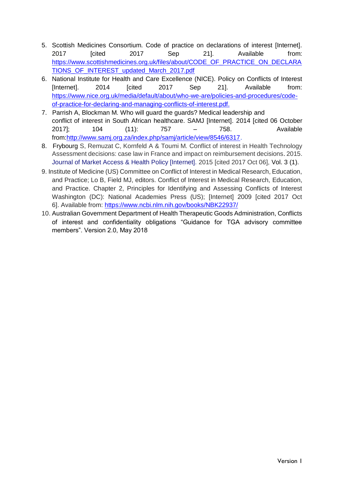- 5. Scottish Medicines Consortium. Code of practice on declarations of interest [Internet]. 2017 [cited 2017 Sep 21]. Available from: [https://www.scottishmedicines.org.uk/files/about/CODE\\_OF\\_PRACTICE\\_ON\\_DECLARA](https://www.scottishmedicines.org.uk/files/about/CODE_OF_PRACTICE_ON_DECLARATIONS_OF_INTEREST_updated_March_2017.pdf) [TIONS\\_OF\\_INTEREST\\_updated\\_March\\_2017.pdf](https://www.scottishmedicines.org.uk/files/about/CODE_OF_PRACTICE_ON_DECLARATIONS_OF_INTEREST_updated_March_2017.pdf)
- 6. National Institute for Health and Care Excellence (NICE). Policy on Conflicts of Interest [Internet]. 2014 [cited 2017 Sep 21]. Available from: [https://www.nice.org.uk/media/default/about/who-we-are/policies-and-procedures/code](https://www.nice.org.uk/media/default/about/who-we-are/policies-and-procedures/code-of-practice-for-declaring-and-managing-conflicts-of-interest.pdf)[of-practice-for-declaring-and-managing-conflicts-of-interest.pdf.](https://www.nice.org.uk/media/default/about/who-we-are/policies-and-procedures/code-of-practice-for-declaring-and-managing-conflicts-of-interest.pdf)
- 7. Parrish A, Blockman M. Who will guard the guards? Medical leadership and conflict of interest in South African healthcare. SAMJ [Internet]. 2014 [cited 06 October 2017]; 104 (11): 757 – 758. Available from[:http://www.samj.org.za/index.php/samj/article/view/8546/6317.](http://www.samj.org.za/index.php/samj/article/view/8546/6317)
- 8. Frybourg S, Remuzat C, Kornfeld A & Toumi M. Conflict of interest in Health Technology Assessment decisions: case law in France and impact on reimbursement decisions. 2015. Journal of Market Access & Health Policy [Internet]. 2015 [cited 2017 Oct 06], Vol. 3 (1).
- 9. Institute of Medicine (US) Committee on Conflict of Interest in Medical Research, Education, and Practice; Lo B, Field MJ, editors. Conflict of Interest in Medical Research, Education, and Practice. Chapter 2, Principles for Identifying and Assessing Conflicts of Interest Washington (DC): National Academies Press (US); [Internet] 2009 [cited 2017 Oct 6]. Available from:<https://www.ncbi.nlm.nih.gov/books/NBK22937/>
- 10. Australian Government Department of Health Therapeutic Goods Administration, Conflicts of interest and confidentiality obligations "Guidance for TGA advisory committee members". Version 2.0, May 2018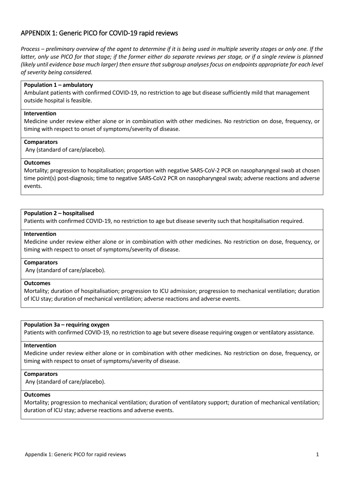## APPENDIX 1: Generic PICO for COVID-19 rapid reviews

*Process – preliminary overview of the agent to determine if it is being used in multiple severity stages or only one. If the latter, only use PICO for that stage; if the former either do separate reviews per stage, or if a single review is planned (likely until evidence base much larger) then ensure that subgroup analyses focus on endpoints appropriate for each level of severity being considered.*

## **Population 1 – ambulatory**

Ambulant patients with confirmed COVID-19, no restriction to age but disease sufficiently mild that management outside hospital is feasible.

#### **Intervention**

Medicine under review either alone or in combination with other medicines. No restriction on dose, frequency, or timing with respect to onset of symptoms/severity of disease.

#### **Comparators**

Any (standard of care/placebo).

#### **Outcomes**

Mortality; progression to hospitalisation; proportion with negative SARS-CoV-2 PCR on nasopharyngeal swab at chosen time point(s) post-diagnosis; time to negative SARS-CoV2 PCR on nasopharyngeal swab; adverse reactions and adverse events.

#### **Population 2 – hospitalised**

Patients with confirmed COVID-19, no restriction to age but disease severity such that hospitalisation required.

## **Intervention**

Medicine under review either alone or in combination with other medicines. No restriction on dose, frequency, or timing with respect to onset of symptoms/severity of disease.

## **Comparators**

Any (standard of care/placebo).

#### **Outcomes**

Mortality; duration of hospitalisation; progression to ICU admission; progression to mechanical ventilation; duration of ICU stay; duration of mechanical ventilation; adverse reactions and adverse events.

#### **Population 3a – requiring oxygen**

Patients with confirmed COVID-19, no restriction to age but severe disease requiring oxygen or ventilatory assistance.

#### **Intervention**

Medicine under review either alone or in combination with other medicines. No restriction on dose, frequency, or timing with respect to onset of symptoms/severity of disease.

#### **Comparators**

Any (standard of care/placebo).

## **Outcomes**

Mortality; progression to mechanical ventilation; duration of ventilatory support; duration of mechanical ventilation; duration of ICU stay; adverse reactions and adverse events.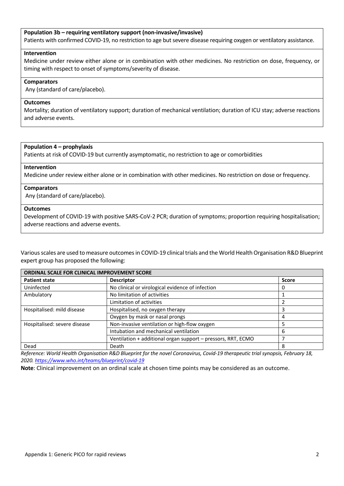## **Population 3b – requiring ventilatory support (non-invasive/invasive)**

Patients with confirmed COVID-19, no restriction to age but severe disease requiring oxygen or ventilatory assistance.

#### **Intervention**

Medicine under review either alone or in combination with other medicines. No restriction on dose, frequency, or timing with respect to onset of symptoms/severity of disease.

#### **Comparators**

Any (standard of care/placebo).

#### **Outcomes**

Mortality; duration of ventilatory support; duration of mechanical ventilation; duration of ICU stay; adverse reactions and adverse events.

#### **Population 4 – prophylaxis**

Patients at risk of COVID-19 but currently asymptomatic, no restriction to age or comorbidities

#### **Intervention**

Medicine under review either alone or in combination with other medicines. No restriction on dose or frequency.

#### **Comparators**

Any (standard of care/placebo).

#### **Outcomes**

Development of COVID-19 with positive SARS-CoV-2 PCR; duration of symptoms; proportion requiring hospitalisation; adverse reactions and adverse events.

Various scales are used to measure outcomes in COVID-19 clinical trials and the World Health Organisation R&D Blueprint expert group has proposed the following:

| ORDINAL SCALE FOR CLINICAL IMPROVEMENT SCORE |                                                              |              |  |
|----------------------------------------------|--------------------------------------------------------------|--------------|--|
| <b>Patient state</b>                         | <b>Descriptor</b>                                            | <b>Score</b> |  |
| Uninfected                                   | No clinical or virological evidence of infection             |              |  |
| Ambulatory                                   | No limitation of activities                                  |              |  |
|                                              | Limitation of activities                                     |              |  |
| Hospitalised: mild disease                   | Hospitalised, no oxygen therapy                              |              |  |
|                                              | Oxygen by mask or nasal prongs                               | 4            |  |
| Hospitalised: severe disease                 | Non-invasive ventilation or high-flow oxygen                 |              |  |
|                                              | Intubation and mechanical ventilation                        | 6            |  |
|                                              | Ventilation + additional organ support - pressors, RRT, ECMO |              |  |
| Dead                                         | Death                                                        | 8            |  |

*Reference: World Health Organisation R&D Blueprint for the novel Coronavirus, Covid-19 therapeutic trial synopsis, February 18, 2020[. https://www.who.int/teams/blueprint/covid-19](https://www.who.int/teams/blueprint/covid-19)*

**Note**: Clinical improvement on an ordinal scale at chosen time points may be considered as an outcome.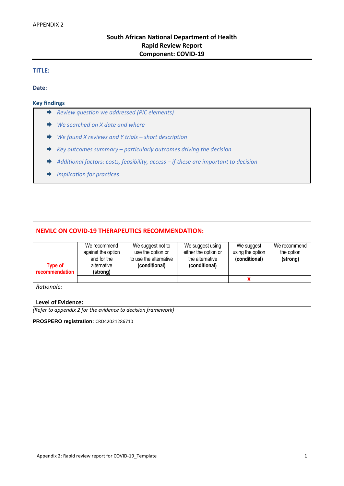## **South African National Department of Health Rapid Review Report Component: COVID-19**

## **TITLE:**

**Date:** 

#### **Key findings**

- *Review question we addressed (PIC elements)*
- *We searched on X date and where*
- *We found X reviews and Y trials – short description*
- *Key outcomes summary – particularly outcomes driving the decision*
- *Additional factors: costs, feasibility, access – if these are important to decision*
- *Implication for practices*

| <b>NEMLC ON COVID-19 THERAPEUTICS RECOMMENDATION:</b> |                                                                              |                                                                                   |                                                                              |                                                 |                                        |
|-------------------------------------------------------|------------------------------------------------------------------------------|-----------------------------------------------------------------------------------|------------------------------------------------------------------------------|-------------------------------------------------|----------------------------------------|
| <b>Type of</b><br>recommendation                      | We recommend<br>against the option<br>and for the<br>alternative<br>(strong) | We suggest not to<br>use the option or<br>to use the alternative<br>(conditional) | We suggest using<br>either the option or<br>the alternative<br>(conditional) | We suggest<br>using the option<br>(conditional) | We recommend<br>the option<br>(strong) |
|                                                       |                                                                              |                                                                                   |                                                                              | x                                               |                                        |
| Rationale:                                            |                                                                              |                                                                                   |                                                                              |                                                 |                                        |
| <b>Level of Evidence:</b>                             |                                                                              |                                                                                   |                                                                              |                                                 |                                        |

*(Refer to appendix 2 for the evidence to decision framework)*

**PROSPERO registration:** CRD42021286710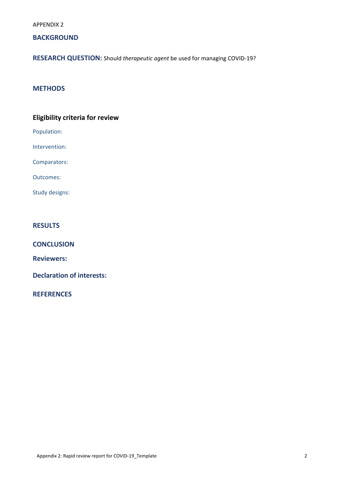APPENDIX 2

## **BACKGROUND**

**RESEARCH QUESTION:** Should *therapeutic agent* be used for managing COVID-19?

## **METHODS**

## **Eligibility criteria for review**

Population:

Intervention:

Comparators:

Outcomes:

Study designs:

## **RESULTS**

**CONCLUSION**

**Reviewers:**

**Declaration of interests:**

**REFERENCES**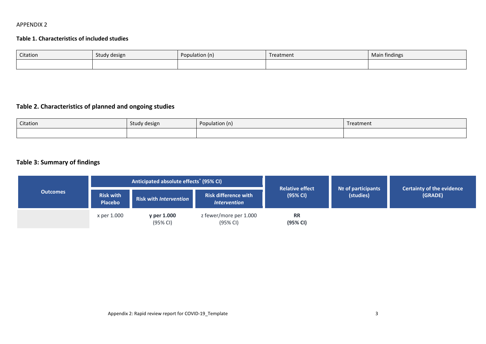## APPENDIX 2

## **Table 1. Characteristics of included studies**

| Citation | Study design | opulation (n) | Treatment | Main findings |
|----------|--------------|---------------|-----------|---------------|
|          |              |               |           |               |

# **Table 2. Characteristics of planned and ongoing studies**

| Citation | Study design | Population (n) | Treatment |
|----------|--------------|----------------|-----------|
|          |              |                |           |

## **Table 3: Summary of findings**

|                 |                                    | Anticipated absolute effects <sup>*</sup> (95% CI) |                                                    |                                    |                                                                                |  |
|-----------------|------------------------------------|----------------------------------------------------|----------------------------------------------------|------------------------------------|--------------------------------------------------------------------------------|--|
| <b>Outcomes</b> | <b>Risk with</b><br><b>Placebo</b> | <b>Risk with Intervention</b>                      | <b>Risk difference with</b><br><b>Intervention</b> | <b>Relative effect</b><br>(95% CI) | <b>Certainty of the evidence</b><br>Nº of participants<br>(studies)<br>(GRADE) |  |
|                 | x per 1.000                        | y per 1.000<br>(95% CI)                            | z fewer/more per 1.000<br>(95% CI)                 | <b>RR</b><br>(95% CI)              |                                                                                |  |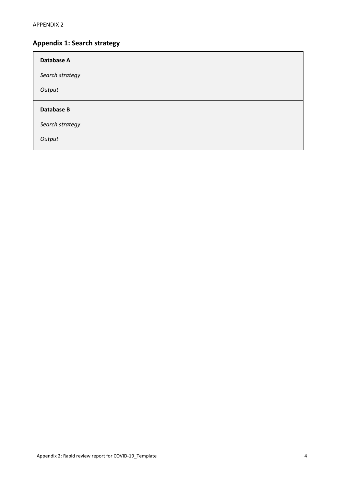# **Appendix 1: Search strategy**

| Database A        |  |  |  |
|-------------------|--|--|--|
| Search strategy   |  |  |  |
| Output            |  |  |  |
|                   |  |  |  |
| <b>Database B</b> |  |  |  |
| Search strategy   |  |  |  |
| Output            |  |  |  |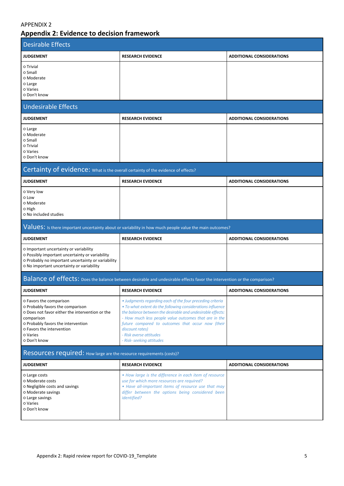## APPENDIX 2

# **Appendix 2: Evidence to decision framework**

| <b>Desirable Effects</b>                                                                                                                                                                                                    |                                                                                                                                                                                                                                                                                                                                                                                |                                  |
|-----------------------------------------------------------------------------------------------------------------------------------------------------------------------------------------------------------------------------|--------------------------------------------------------------------------------------------------------------------------------------------------------------------------------------------------------------------------------------------------------------------------------------------------------------------------------------------------------------------------------|----------------------------------|
| <b>JUDGEMENT</b>                                                                                                                                                                                                            | <b>RESEARCH EVIDENCE</b>                                                                                                                                                                                                                                                                                                                                                       | <b>ADDITIONAL CONSIDERATIONS</b> |
| o Trivial<br>o Small<br>o Moderate<br>o Large<br>o Varies<br>o Don't know                                                                                                                                                   |                                                                                                                                                                                                                                                                                                                                                                                |                                  |
| Undesirable Effects                                                                                                                                                                                                         |                                                                                                                                                                                                                                                                                                                                                                                |                                  |
| <b>JUDGEMENT</b>                                                                                                                                                                                                            | <b>RESEARCH EVIDENCE</b>                                                                                                                                                                                                                                                                                                                                                       | <b>ADDITIONAL CONSIDERATIONS</b> |
| o Large<br>o Moderate<br>o Small<br>o Trivial<br>o Varies<br>o Don't know                                                                                                                                                   |                                                                                                                                                                                                                                                                                                                                                                                |                                  |
| Certainty of evidence: What is the overall certainty of the evidence of effects?                                                                                                                                            |                                                                                                                                                                                                                                                                                                                                                                                |                                  |
| <b>JUDGEMENT</b>                                                                                                                                                                                                            | <b>RESEARCH EVIDENCE</b>                                                                                                                                                                                                                                                                                                                                                       | <b>ADDITIONAL CONSIDERATIONS</b> |
| o Very low<br>o Low<br>o Moderate<br>0 High<br>O No included studies                                                                                                                                                        |                                                                                                                                                                                                                                                                                                                                                                                |                                  |
|                                                                                                                                                                                                                             | Values: Is there important uncertainty about or variability in how much people value the main outcomes?                                                                                                                                                                                                                                                                        |                                  |
| <b>JUDGEMENT</b>                                                                                                                                                                                                            | <b>RESEARCH EVIDENCE</b>                                                                                                                                                                                                                                                                                                                                                       | <b>ADDITIONAL CONSIDERATIONS</b> |
| O Important uncertainty or variability<br>O Possibly important uncertainty or variability<br>o Probably no important uncertainty or variability<br>O No important uncertainty or variability                                |                                                                                                                                                                                                                                                                                                                                                                                |                                  |
|                                                                                                                                                                                                                             | Balance of effects: Does the balance between desirable and undesirable effects favor the intervention or the comparison?                                                                                                                                                                                                                                                       |                                  |
| <b>JUDGEMENT</b>                                                                                                                                                                                                            | <b>RESEARCH EVIDENCE</b>                                                                                                                                                                                                                                                                                                                                                       | <b>ADDITIONAL CONSIDERATIONS</b> |
| o Favors the comparison<br>o Probably favors the comparison<br>o Does not favor either the intervention or the<br>comparison<br>o Probably favors the intervention<br>o Favors the intervention<br>o Varies<br>o Don't know | • Judgments regarding each of the four preceding criteria<br>• To what extent do the following considerations influence<br>the balance between the desirable and undesirable effects:<br>- How much less people value outcomes that are in the<br>future compared to outcomes that occur now (their<br>discount rates)<br>- Risk averse attitudes<br>- Risk- seeking attitudes |                                  |
| Resources required: How large are the resource requirements (costs)?                                                                                                                                                        |                                                                                                                                                                                                                                                                                                                                                                                |                                  |
| <b>JUDGEMENT</b>                                                                                                                                                                                                            | <b>RESEARCH EVIDENCE</b>                                                                                                                                                                                                                                                                                                                                                       | <b>ADDITIONAL CONSIDERATIONS</b> |
| o Large costs<br>o Moderate costs<br>O Negligible costs and savings<br>O Moderate savings<br>o Large savings<br>o Varies<br>o Don't know                                                                                    | • How large is the difference in each item of resource<br>use for which more resources are required?<br>• Have all-important items of resource use that may<br>differ between the options being considered been<br><i>identified?</i>                                                                                                                                          |                                  |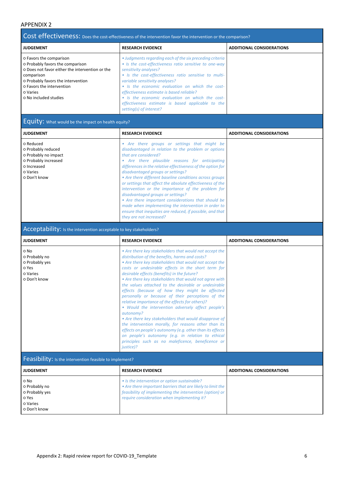## APPENDIX 2

|                                                                                                                                                                                                                                      | Cost effectiveness: Does the cost-effectiveness of the intervention favor the intervention or the comparison?                                                                                                                                                                                                                                                                                                                                                             |                                  |  |
|--------------------------------------------------------------------------------------------------------------------------------------------------------------------------------------------------------------------------------------|---------------------------------------------------------------------------------------------------------------------------------------------------------------------------------------------------------------------------------------------------------------------------------------------------------------------------------------------------------------------------------------------------------------------------------------------------------------------------|----------------------------------|--|
| <b>JUDGEMENT</b>                                                                                                                                                                                                                     | <b>RESEARCH EVIDENCE</b>                                                                                                                                                                                                                                                                                                                                                                                                                                                  | <b>ADDITIONAL CONSIDERATIONS</b> |  |
| O Favors the comparison<br>o Probably favors the comparison<br>o Does not favor either the intervention or the<br>comparison<br>o Probably favors the intervention<br>o Favors the intervention<br>o Varies<br>o No included studies | • Judaments regarding each of the six preceding criteria<br>• Is the cost-effectiveness ratio sensitive to one-way<br>sensitivity analyses?<br>• Is the cost-effectiveness ratio sensitive to multi-<br>variable sensitivity analyses?<br>• Is the economic evaluation on which the cost-<br>effectiveness estimate is based reliable?<br>• Is the economic evaluation on which the cost-<br>effectiveness estimate is based applicable to the<br>setting(s) of interest? |                                  |  |

# Equity: What would be the impact on health equity?

| <b>JUDGEMENT</b>                                                                                                           | <b>RESEARCH EVIDENCE</b>                                                                                                                                                                                                                                                                                                                                                                                                                                                                                                                                                                                                                                                                                | <b>ADDITIONAL CONSIDERATIONS</b> |
|----------------------------------------------------------------------------------------------------------------------------|---------------------------------------------------------------------------------------------------------------------------------------------------------------------------------------------------------------------------------------------------------------------------------------------------------------------------------------------------------------------------------------------------------------------------------------------------------------------------------------------------------------------------------------------------------------------------------------------------------------------------------------------------------------------------------------------------------|----------------------------------|
| o Reduced<br>o Probably reduced<br>o Probably no impact<br>o Probably increased<br>o Increased<br>o Varies<br>o Don't know | • Are there groups or settings that might be<br>disadvantaged in relation to the problem or options<br>that are considered?<br>Are there plausible reasons for anticipating<br>differences in the relative effectiveness of the option for<br>disadvantaged groups or settings?<br>• Are there different baseline conditions across groups<br>or settings that affect the absolute effectiveness of the<br>intervention or the importance of the problem for<br>disadvantaged groups or settings?<br>• Are there important considerations that should be<br>made when implementing the intervention in order to<br>ensure that inequities are reduced, if possible, and that<br>they are not increased? |                                  |

## Acceptability: Is the intervention acceptable to key stakeholders?

| <b>JUDGEMENT</b>                                                             | <b>RESEARCH EVIDENCE</b>                                                                                                                                                                                                                                                                                                                                                                                                                                                                                                                                                                                                                                                                                                                                                                                                                                                                                                           | <b>ADDITIONAL CONSIDERATIONS</b> |
|------------------------------------------------------------------------------|------------------------------------------------------------------------------------------------------------------------------------------------------------------------------------------------------------------------------------------------------------------------------------------------------------------------------------------------------------------------------------------------------------------------------------------------------------------------------------------------------------------------------------------------------------------------------------------------------------------------------------------------------------------------------------------------------------------------------------------------------------------------------------------------------------------------------------------------------------------------------------------------------------------------------------|----------------------------------|
| o No<br>o Probably no<br>o Probably yes<br>o Yes<br>o Varies<br>o Don't know | • Are there key stakeholders that would not accept the<br>distribution of the benefits, harms and costs?<br>• Are there key stakeholders that would not accept the<br>costs or undesirable effects in the short term for<br>desirable effects (benefits) in the future?<br>• Are there key stakeholders that would not agree with<br>the values attached to the desirable or undesirable<br>effects (because of how they might be affected<br>personally or because of their perceptions of the<br>relative importance of the effects for others)?<br>• Would the intervention adversely affect people's<br>autonomy?<br>• Are there key stakeholders that would disapprove of<br>the intervention morally, for reasons other than its<br>effects on people's autonomy (e.g. other than its effects<br>on people's autonomy (e.g. in relation to ethical<br>principles such as no maleficence, beneficence or<br><i>justice</i> )? |                                  |
| Feasibility: is the intervention feasible to implement?                      |                                                                                                                                                                                                                                                                                                                                                                                                                                                                                                                                                                                                                                                                                                                                                                                                                                                                                                                                    |                                  |

| <b>JUDGEMENT</b>                                                             | <b>RESEARCH EVIDENCE</b>                                                                                                                                                                                               | <b>ADDITIONAL CONSIDERATIONS</b> |
|------------------------------------------------------------------------------|------------------------------------------------------------------------------------------------------------------------------------------------------------------------------------------------------------------------|----------------------------------|
| o No<br>o Probably no<br>o Probably yes<br>o Yes<br>o Varies<br>o Don't know | • Is the intervention or option sustainable?<br>• Are there important barriers that are likely to limit the<br>feasibility of implementing the intervention (option) or<br>require consideration when implementing it? |                                  |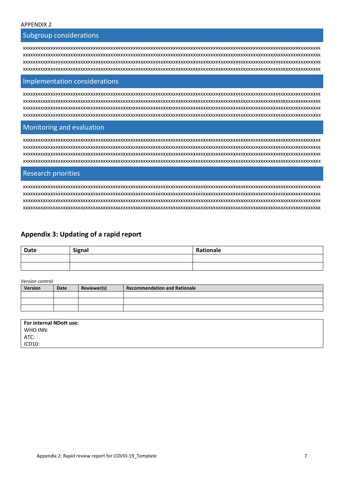## Subgroup considerations

xxxxxxxxxxxxxxxxxxxxxxxxxxxxxxxxxxxxxxxxxxxxxxxxxxxxxxxxxxxxxxxxxxxxxxxxxxxxxxxxxxxxxxxxxxxxxxxxxxxxxxxxxxxxxxxxxxxxxxx xxxxxxxxxxxxxxxxxxxxxxxxxxxxxxxxxxxxxxxxxxxxxxxxxxxxxxxxxxxxxxxxxxxxxxxxxxxxxxxxxxxxxxxxxxxxxxxxxxxxxxxxxxxxxxxxxxxxxxx xxxxxxxxxxxxxxxxxxxxxxxxxxxxxxxxxxxxxxxxxxxxxxxxxxxxxxxxxxxxxxxxxxxxxxxxxxxxxxxxxxxxxxxxxxxxxxxxxxxxxxxxxxxxxxxxxxxxxxx xxxxxxxxxxxxxxxxxxxxxxxxxxxxxxxxxxxxxxxxxxxxxxxxxxxxxxxxxxxxxxxxxxxxxxxxxxxxxxxxxxxxxxxxxxxxxxxxxxxxxxxxxxxxxxxxxxxxxxx

#### Implementation considerations

xxxxxxxxxxxxxxxxxxxxxxxxxxxxxxxxxxxxxxxxxxxxxxxxxxxxxxxxxxxxxxxxxxxxxxxxxxxxxxxxxxxxxxxxxxxxxxxxxxxxxxxxxxxxxxxxxxxxxxx xxxxxxxxxxxxxxxxxxxxxxxxxxxxxxxxxxxxxxxxxxxxxxxxxxxxxxxxxxxxxxxxxxxxxxxxxxxxxxxxxxxxxxxxxxxxxxxxxxxxxxxxxxxxxxxxxxxxxxx xxxxxxxxxxxxxxxxxxxxxxxxxxxxxxxxxxxxxxxxxxxxxxxxxxxxxxxxxxxxxxxxxxxxxxxxxxxxxxxxxxxxxxxxxxxxxxxxxxxxxxxxxxxxxxxxxxxxxxx xxxxxxxxxxxxxxxxxxxxxxxxxxxxxxxxxxxxxxxxxxxxxxxxxxxxxxxxxxxxxxxxxxxxxxxxxxxxxxxxxxxxxxxxxxxxxxxxxxxxxxxxxxxxxxxxxxxxxxx

## Monitoring and evaluation

xxxxxxxxxxxxxxxxxxxxxxxxxxxxxxxxxxxxxxxxxxxxxxxxxxxxxxxxxxxxxxxxxxxxxxxxxxxxxxxxxxxxxxxxxxxxxxxxxxxxxxxxxxxxxxxxxxxxxxx xxxxxxxxxxxxxxxxxxxxxxxxxxxxxxxxxxxxxxxxxxxxxxxxxxxxxxxxxxxxxxxxxxxxxxxxxxxxxxxxxxxxxxxxxxxxxxxxxxxxxxxxxxxxxxxxxxxxxxx xxxxxxxxxxxxxxxxxxxxxxxxxxxxxxxxxxxxxxxxxxxxxxxxxxxxxxxxxxxxxxxxxxxxxxxxxxxxxxxxxxxxxxxxxxxxxxxxxxxxxxxxxxxxxxxxxxxxxxx  $x$ 

## Research priorities

xxxxxxxxxxxxxxxxxxxxxxxxxxxxxxxxxxxxxxxxxxxxxxxxxxxxxxxxxxxxxxxxxxxxxxxxxxxxxxxxxxxxxxxxxxxxxxxxxxxxxxxxxxxxxxxxxxxxxxx xxxxxxxxxxxxxxxxxxxxxxxxxxxxxxxxxxxxxxxxxxxxxxxxxxxxxxxxxxxxxxxxxxxxxxxxxxxxxxxxxxxxxxxxxxxxxxxxxxxxxxxxxxxxxxxxxxxxxxx xxxxxxxxxxxxxxxxxxxxxxxxxxxxxxxxxxxxxxxxxxxxxxxxxxxxxxxxxxxxxxxxxxxxxxxxxxxxxxxxxxxxxxxxxxxxxxxxxxxxxxxxxxxxxxxxxxxxxxx xxxxxxxxxxxxxxxxxxxxxxxxxxxxxxxxxxxxxxxxxxxxxxxxxxxxxxxxxxxxxxxxxxxxxxxxxxxxxxxxxxxxxxxxxxxxxxxxxxxxxxxxxxxxxxxxxxxxxxx

## **Appendix 3: Updating of a rapid report**

| <b>Date</b> | <b>Signal</b> | Rationale |
|-------------|---------------|-----------|
|             |               |           |
|             |               |           |

*Version control:*

| .              |      |             |                              |
|----------------|------|-------------|------------------------------|
| <b>Version</b> | Date | Reviewer(s) | Recommendation and Rationale |
|                |      |             |                              |
|                |      |             |                              |
|                |      |             |                              |
|                |      |             |                              |

| WHO INN:<br>ATC:<br>ICD10: | For internal NDoH use: |  |
|----------------------------|------------------------|--|
|                            |                        |  |
|                            |                        |  |
|                            |                        |  |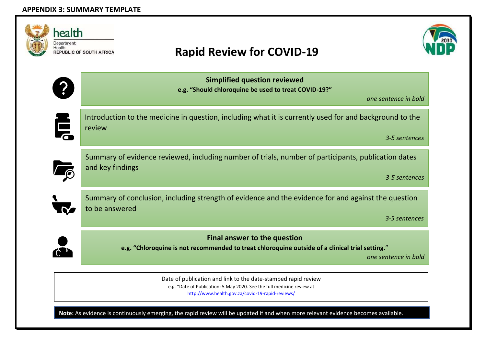| health<br>Department:<br>Health<br><b>REPUBLIC OF SOUTH AFRICA</b> | <b>Rapid Review for COVID-19</b>                                                                                                                               |
|--------------------------------------------------------------------|----------------------------------------------------------------------------------------------------------------------------------------------------------------|
|                                                                    | <b>Simplified question reviewed</b><br>e.g. "Should chloroquine be used to treat COVID-19?"<br>one sentence in bold                                            |
| Ę<br>review                                                        | Introduction to the medicine in question, including what it is currently used for and background to the<br>3-5 sentences                                       |
| and key findings                                                   | Summary of evidence reviewed, including number of trials, number of participants, publication dates<br>3-5 sentences                                           |
| to be answered<br><u>V</u>                                         | Summary of conclusion, including strength of evidence and the evidence for and against the question<br>3-5 sentences                                           |
|                                                                    | <b>Final answer to the question</b><br>e.g. "Chloroquine is not recommended to treat chloroquine outside of a clinical trial setting."<br>one sentence in bold |

e.g. "Date of Publication: 5 May 2020. See the full medicine review at

<http://www.health.gov.za/covid-19-rapid-reviews/>

**Note:** As evidence is continuously emerging, the rapid review will be updated if and when more relevant evidence becomes available.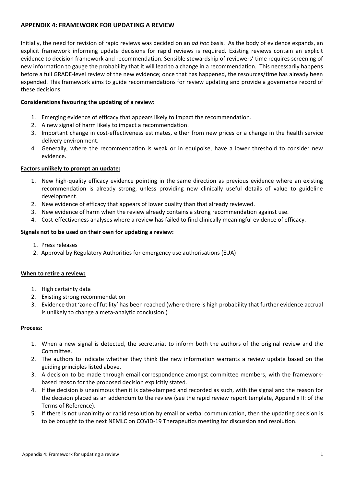## **APPENDIX 4: FRAMEWORK FOR UPDATING A REVIEW**

Initially, the need for revision of rapid reviews was decided on an *ad hoc* basis. As the body of evidence expands, an explicit framework informing update decisions for rapid reviews is required. Existing reviews contain an explicit evidence to decision framework and recommendation. Sensible stewardship of reviewers' time requires screening of new information to gauge the probability that it will lead to a change in a recommendation. This necessarily happens before a full GRADE-level review of the new evidence; once that has happened, the resources/time has already been expended. This framework aims to guide recommendations for review updating and provide a governance record of these decisions.

## **Considerations favouring the updating of a review:**

- 1. Emerging evidence of efficacy that appears likely to impact the recommendation.
- 2. A new signal of harm likely to impact a recommendation.
- 3. Important change in cost-effectiveness estimates, either from new prices or a change in the health service delivery environment.
- 4. Generally, where the recommendation is weak or in equipoise, have a lower threshold to consider new evidence.

## **Factors unlikely to prompt an update:**

- 1. New high-quality efficacy evidence pointing in the same direction as previous evidence where an existing recommendation is already strong, unless providing new clinically useful details of value to guideline development.
- 2. New evidence of efficacy that appears of lower quality than that already reviewed.
- 3. New evidence of harm when the review already contains a strong recommendation against use.
- 4. Cost-effectiveness analyses where a review has failed to find clinically meaningful evidence of efficacy.

## **Signals not to be used on their own for updating a review:**

- 1. Press releases
- 2. Approval by Regulatory Authorities for emergency use authorisations (EUA)

## **When to retire a review:**

- 1. High certainty data
- 2. Existing strong recommendation
- 3. Evidence that 'zone of futility' has been reached (where there is high probability that further evidence accrual is unlikely to change a meta-analytic conclusion.)

## **Process:**

- 1. When a new signal is detected, the secretariat to inform both the authors of the original review and the Committee.
- 2. The authors to indicate whether they think the new information warrants a review update based on the guiding principles listed above.
- 3. A decision to be made through email correspondence amongst committee members, with the frameworkbased reason for the proposed decision explicitly stated.
- 4. If the decision is unanimous then it is date-stamped and recorded as such, with the signal and the reason for the decision placed as an addendum to the review (see the rapid review report template, Appendix II: of the Terms of Reference).
- 5. If there is not unanimity or rapid resolution by email or verbal communication, then the updating decision is to be brought to the next NEMLC on COVID-19 Therapeutics meeting for discussion and resolution.